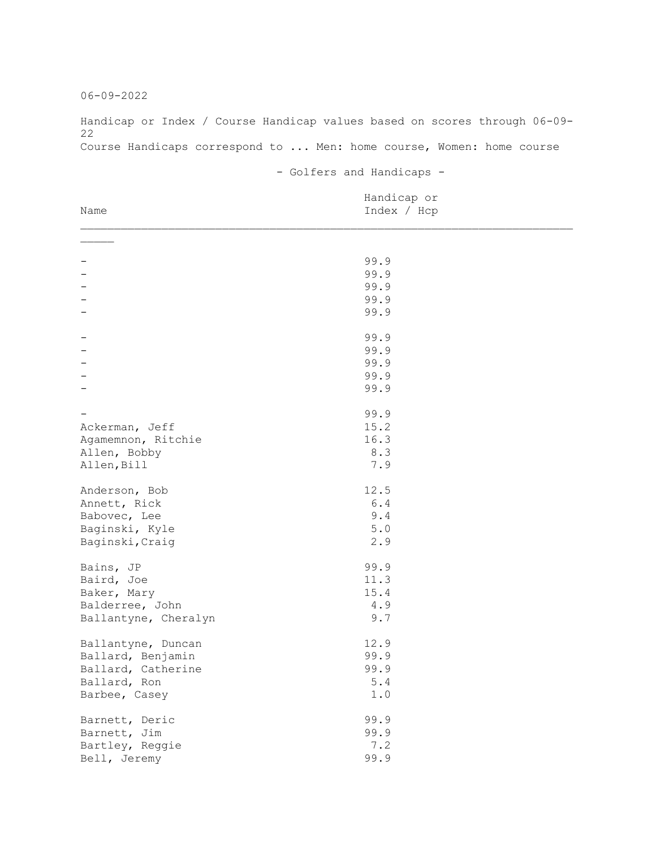06-09-2022

Handicap or Index / Course Handicap values based on scores through 06-09- 22 Course Handicaps correspond to ... Men: home course, Women: home course

- Golfers and Handicaps -

| Name                 | Handicap or<br>Index / Hcp |  |
|----------------------|----------------------------|--|
|                      |                            |  |
|                      |                            |  |
|                      | 99.9                       |  |
|                      | 99.9                       |  |
|                      | 99.9                       |  |
|                      | 99.9                       |  |
|                      | 99.9                       |  |
|                      | 99.9                       |  |
|                      | 99.9                       |  |
|                      | 99.9                       |  |
|                      | 99.9                       |  |
|                      | 99.9                       |  |
|                      | 99.9                       |  |
| Ackerman, Jeff       | 15.2                       |  |
| Agamemnon, Ritchie   | 16.3                       |  |
| Allen, Bobby         | 8.3                        |  |
| Allen, Bill          | 7.9                        |  |
| Anderson, Bob        | 12.5                       |  |
| Annett, Rick         | $6.4$                      |  |
| Babovec, Lee         | 9.4                        |  |
| Baginski, Kyle       | $5.0$                      |  |
| Baginski, Craig      | 2.9                        |  |
| Bains, JP            | 99.9                       |  |
| Baird, Joe           | 11.3                       |  |
| Baker, Mary          | 15.4                       |  |
| Balderree, John      | 4.9                        |  |
| Ballantyne, Cheralyn | 9.7                        |  |
|                      |                            |  |
| Ballantyne, Duncan   | 12.9                       |  |
| Ballard, Benjamin    | 99.9                       |  |
| Ballard, Catherine   | 99.9                       |  |
| Ballard, Ron         | $5.4$                      |  |
| Barbee, Casey        | $1\,.$ $0\,$               |  |
| Barnett, Deric       | 99.9                       |  |
| Barnett, Jim         | 99.9                       |  |
| Bartley, Reggie      | 7.2                        |  |
| Bell, Jeremy         | 99.9                       |  |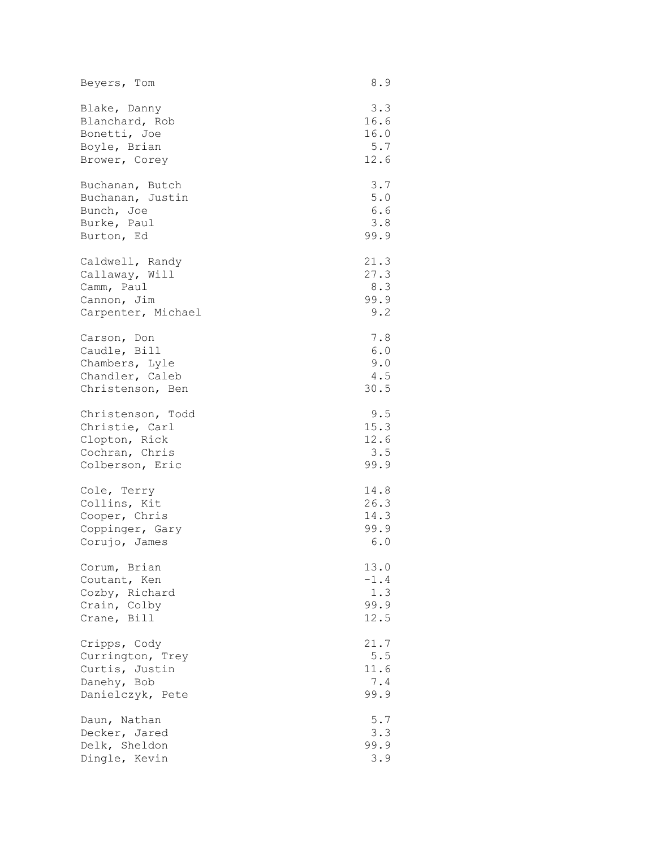| Beyers, Tom        | 8.9    |
|--------------------|--------|
| Blake, Danny       | 3.3    |
| Blanchard, Rob     | 16.6   |
| Bonetti, Joe       | 16.0   |
| Boyle, Brian       | 5.7    |
| Brower, Corey      | 12.6   |
| Buchanan, Butch    | 3.7    |
| Buchanan, Justin   | 5.0    |
| Bunch, Joe         | 6.6    |
| Burke, Paul        | 3.8    |
| Burton, Ed         | 99.9   |
| Caldwell, Randy    | 21.3   |
| Callaway, Will     | 27.3   |
| Camm, Paul         | 8.3    |
| Cannon, Jim        | 99.9   |
| Carpenter, Michael | 9.2    |
| Carson, Don        | 7.8    |
| Caudle, Bill       | $6.0$  |
| Chambers, Lyle     | 9.0    |
| Chandler, Caleb    | 4.5    |
| Christenson, Ben   | 30.5   |
| Christenson, Todd  | 9.5    |
| Christie, Carl     | 15.3   |
| Clopton, Rick      | 12.6   |
| Cochran, Chris     | 3.5    |
| Colberson, Eric    | 99.9   |
| Cole, Terry        | 14.8   |
| Collins, Kit       | 26.3   |
| Cooper, Chris      | 14.3   |
| Coppinger, Gary    | 99.9   |
| Corujo, James      | 6.0    |
| Corum, Brian       | 13.0   |
| Coutant, Ken       | $-1.4$ |
| Cozby, Richard     | 1.3    |
| Crain, Colby       | 99.9   |
| Crane, Bill        | 12.5   |
| Cripps, Cody       | 21.7   |
| Currington, Trey   | $5.5$  |
| Curtis, Justin     | 11.6   |
| Danehy, Bob        | 7.4    |
| Danielczyk, Pete   | 99.9   |
| Daun, Nathan       | 5.7    |
| Decker, Jared      | 3.3    |
| Delk, Sheldon      | 99.9   |
| Dingle, Kevin      | 3.9    |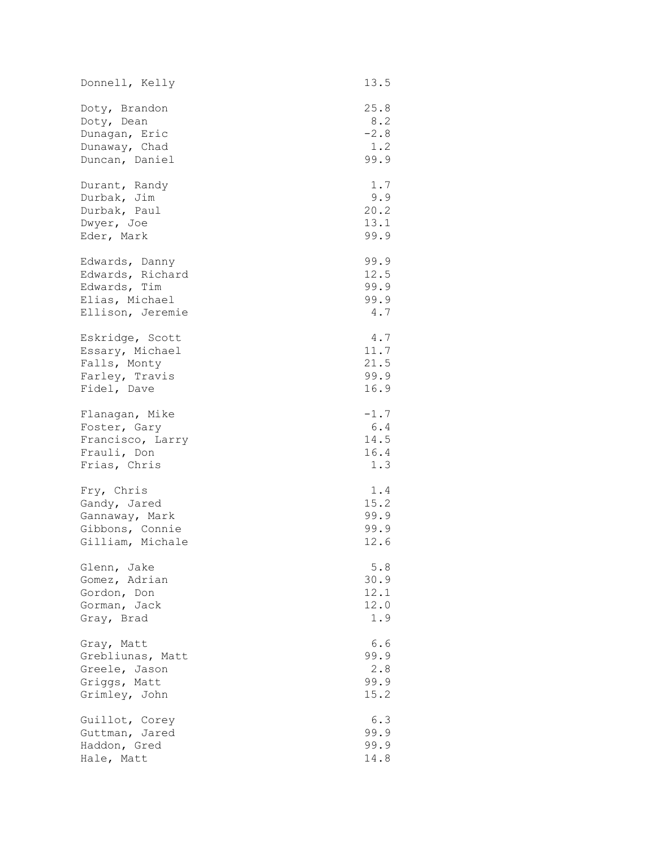| Donnell, Kelly   | 13.5   |
|------------------|--------|
| Doty, Brandon    | 25.8   |
| Doty, Dean       | 8.2    |
| Dunagan, Eric    | $-2.8$ |
| Dunaway, Chad    | 1.2    |
| Duncan, Daniel   | 99.9   |
| Durant, Randy    | 1.7    |
| Durbak, Jim      | 9.9    |
| Durbak, Paul     | 20.2   |
| Dwyer, Joe       | 13.1   |
| Eder, Mark       | 99.9   |
| Edwards, Danny   | 99.9   |
| Edwards, Richard | 12.5   |
| Edwards, Tim     | 99.9   |
| Elias, Michael   | 99.9   |
| Ellison, Jeremie | 4.7    |
| Eskridge, Scott  | 4.7    |
| Essary, Michael  | 11.7   |
| Falls, Monty     | 21.5   |
| Farley, Travis   | 99.9   |
| Fidel, Dave      | 16.9   |
| Flanagan, Mike   | $-1.7$ |
| Foster, Gary     | 6.4    |
| Francisco, Larry | 14.5   |
| Frauli, Don      | 16.4   |
| Frias, Chris     | 1.3    |
| Fry, Chris       | 1.4    |
| Gandy, Jared     | 15.2   |
| Gannaway, Mark   | 99.9   |
| Gibbons, Connie  | 99.9   |
| Gilliam, Michale | 12.6   |
| Glenn, Jake      | 5.8    |
| Gomez, Adrian    | 30.9   |
| Gordon, Don      | 12.1   |
| Gorman, Jack     | 12.0   |
| Gray, Brad       | 1.9    |
| Gray, Matt       | 6.6    |
| Grebliunas, Matt | 99.9   |
| Greele, Jason    | 2.8    |
| Griggs, Matt     | 99.9   |
| Grimley, John    | 15.2   |
| Guillot, Corey   | 6.3    |
| Guttman, Jared   | 99.9   |
| Haddon, Gred     | 99.9   |
| Hale, Matt       | 14.8   |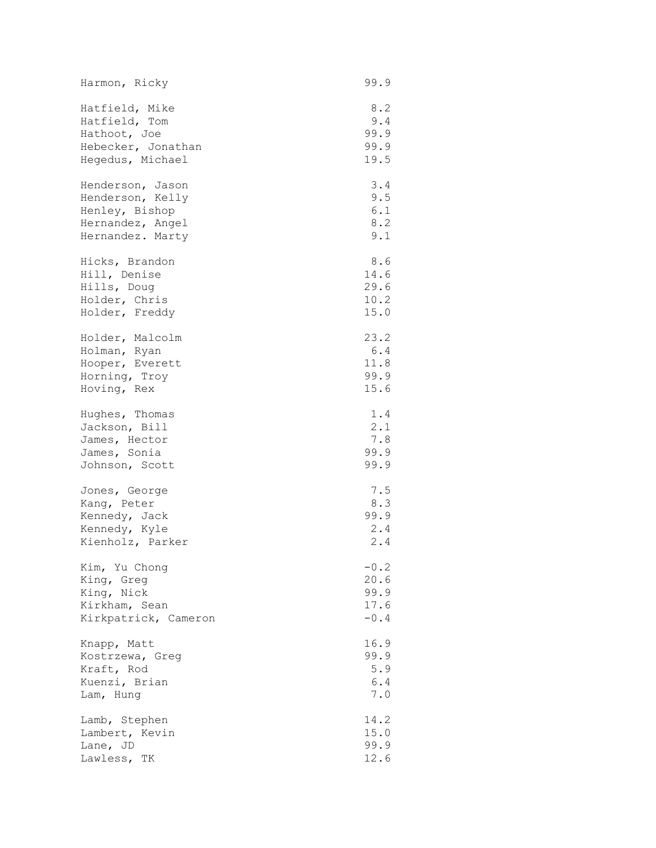| Harmon, Ricky        | 99.9          |
|----------------------|---------------|
| Hatfield, Mike       | 8.2           |
| Hatfield, Tom        | 9.4           |
| Hathoot, Joe         | 99.9          |
| Hebecker, Jonathan   | 99.9          |
| Hegedus, Michael     | 19.5          |
| Henderson, Jason     | 3.4           |
| Henderson, Kelly     | 9.5           |
| Henley, Bishop       | 6.1           |
| Hernandez, Angel     | 8.2           |
| Hernandez. Marty     | 9.1           |
| Hicks, Brandon       | 8.6           |
| Hill, Denise         | 14.6          |
| Hills, Doug          | 29.6          |
| Holder, Chris        | 10.2          |
| Holder, Freddy       | 15.0          |
| Holder, Malcolm      | 23.2          |
| Holman, Ryan         | 6.4           |
| Hooper, Everett      | 11.8          |
| Horning, Troy        | 99.9          |
| Hoving, Rex          | 15.6          |
| Hughes, Thomas       | 1.4           |
| Jackson, Bill        | 2.1           |
| James, Hector        | 7.8           |
| James, Sonia         | 99.9          |
| Johnson, Scott       | 99.9          |
| Jones, George        | 7.5           |
| Kang, Peter          | 8.3           |
| Kennedy, Jack        | 99.9          |
| Kennedy, Kyle        | 2.4           |
| Kienholz, Parker     | 2.4           |
| Kim, Yu Chong        | $-0.2$        |
| King, Greg           | 20.6          |
| King, Nick           | 99.9          |
| Kirkham, Sean        | 17.6          |
| Kirkpatrick, Cameron | $-0.4$        |
| Knapp, Matt          | 16.9          |
| Kostrzewa, Greg      | 99.9          |
| Kraft, Rod           | 5.9           |
| Kuenzi, Brian        | $6\,.$ $4\,$  |
| Lam, Hung            | $7 \, . \, 0$ |
| Lamb, Stephen        | 14.2          |
| Lambert, Kevin       | 15.0          |
| Lane, JD             | 99.9          |
| Lawless, TK          | 12.6          |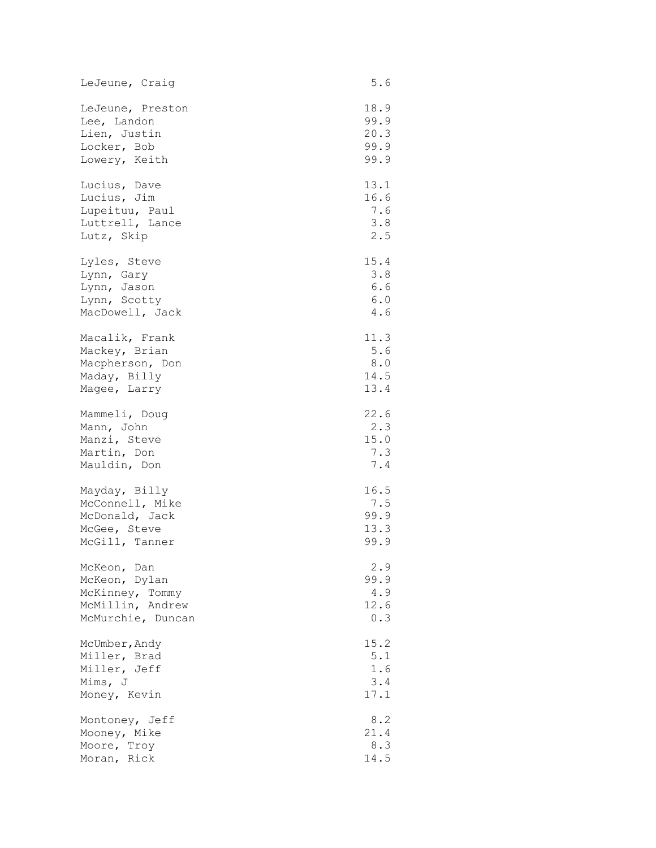| LeJeune, Craig    | 5.6  |
|-------------------|------|
| LeJeune, Preston  | 18.9 |
| Lee, Landon       | 99.9 |
| Lien, Justin      | 20.3 |
| Locker, Bob       | 99.9 |
| Lowery, Keith     | 99.9 |
| Lucius, Dave      | 13.1 |
| Lucius, Jim       | 16.6 |
| Lupeituu, Paul    | 7.6  |
| Luttrell, Lance   | 3.8  |
| Lutz, Skip        | 2.5  |
| Lyles, Steve      | 15.4 |
| Lynn, Gary        | 3.8  |
| Lynn, Jason       | 6.6  |
| Lynn, Scotty      | 6.0  |
| MacDowell, Jack   | 4.6  |
| Macalik, Frank    | 11.3 |
| Mackey, Brian     | 5.6  |
| Macpherson, Don   | 8.0  |
| Maday, Billy      | 14.5 |
| Magee, Larry      | 13.4 |
| Mammeli, Doug     | 22.6 |
| Mann, John        | 2.3  |
| Manzi, Steve      | 15.0 |
| Martin, Don       | 7.3  |
| Mauldin, Don      | 7.4  |
| Mayday, Billy     | 16.5 |
| McConnell, Mike   | 7.5  |
| McDonald, Jack    | 99.9 |
| McGee, Steve      | 13.3 |
| McGill, Tanner    | 99.9 |
| McKeon, Dan       | 2.9  |
| McKeon, Dylan     | 99.9 |
| McKinney, Tommy   | 4.9  |
| McMillin, Andrew  | 12.6 |
| McMurchie, Duncan | 0.3  |
| McUmber, Andy     | 15.2 |
| Miller, Brad      | 5.1  |
| Miller, Jeff      | 1.6  |
| Mims, J           | 3.4  |
| Money, Kevin      | 17.1 |
| Montoney, Jeff    | 8.2  |
| Mooney, Mike      | 21.4 |
| Moore, Troy       | 8.3  |
| Moran, Rick       | 14.5 |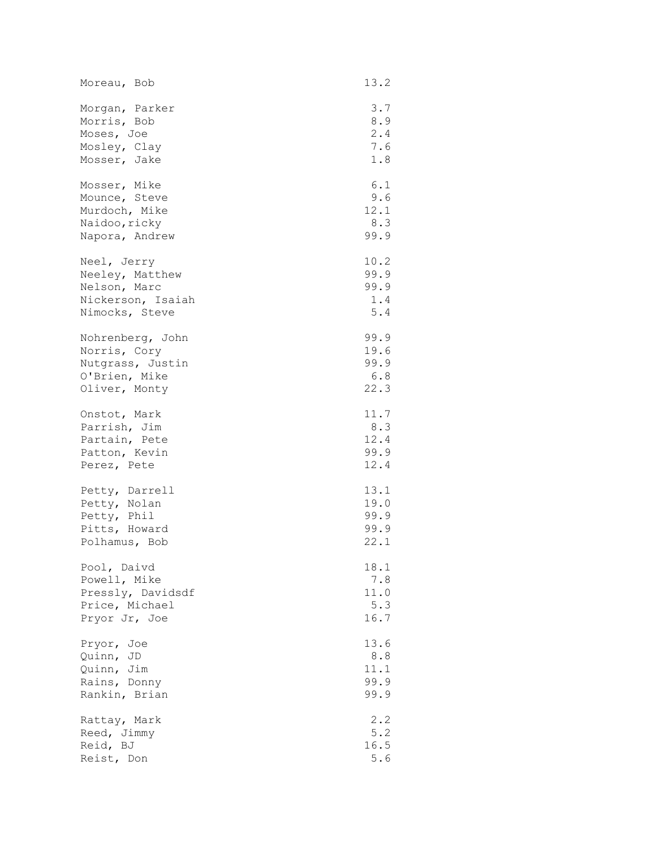| Moreau, Bob       | 13.2    |
|-------------------|---------|
| Morgan, Parker    | 3.7     |
| Morris, Bob       | 8.9     |
| Moses, Joe        | 2.4     |
| Mosley, Clay      | 7.6     |
| Mosser, Jake      | 1.8     |
| Mosser, Mike      | 6.1     |
| Mounce, Steve     | 9.6     |
| Murdoch, Mike     | 12.1    |
| Naidoo, ricky     | 8.3     |
| Napora, Andrew    | 99.9    |
| Neel, Jerry       | 10.2    |
| Neeley, Matthew   | 99.9    |
| Nelson, Marc      | 99.9    |
| Nickerson, Isaiah | 1.4     |
| Nimocks, Steve    | $5.4\,$ |
| Nohrenberg, John  | 99.9    |
| Norris, Cory      | 19.6    |
| Nutgrass, Justin  | 99.9    |
| O'Brien, Mike     | 6.8     |
| Oliver, Monty     | 22.3    |
| Onstot, Mark      | 11.7    |
| Parrish, Jim      | 8.3     |
| Partain, Pete     | 12.4    |
| Patton, Kevin     | 99.9    |
| Perez, Pete       | 12.4    |
| Petty, Darrell    | 13.1    |
| Petty, Nolan      | 19.0    |
| Petty, Phil       | 99.9    |
| Pitts, Howard     | 99.9    |
| Polhamus, Bob     | 22.1    |
| Pool, Daivd       | 18.1    |
| Powell, Mike      | $7.8\,$ |
| Pressly, Davidsdf | 11.0    |
| Price, Michael    | 5.3     |
| Pryor Jr, Joe     | 16.7    |
| Pryor, Joe        | 13.6    |
| Quinn, JD         | 8.8     |
| Quinn, Jim        | 11.1    |
| Rains, Donny      | 99.9    |
| Rankin, Brian     | 99.9    |
| Rattay, Mark      | 2.2     |
| Reed, Jimmy       | 5.2     |
| Reid, BJ          | 16.5    |
| Reist, Don        | 5.6     |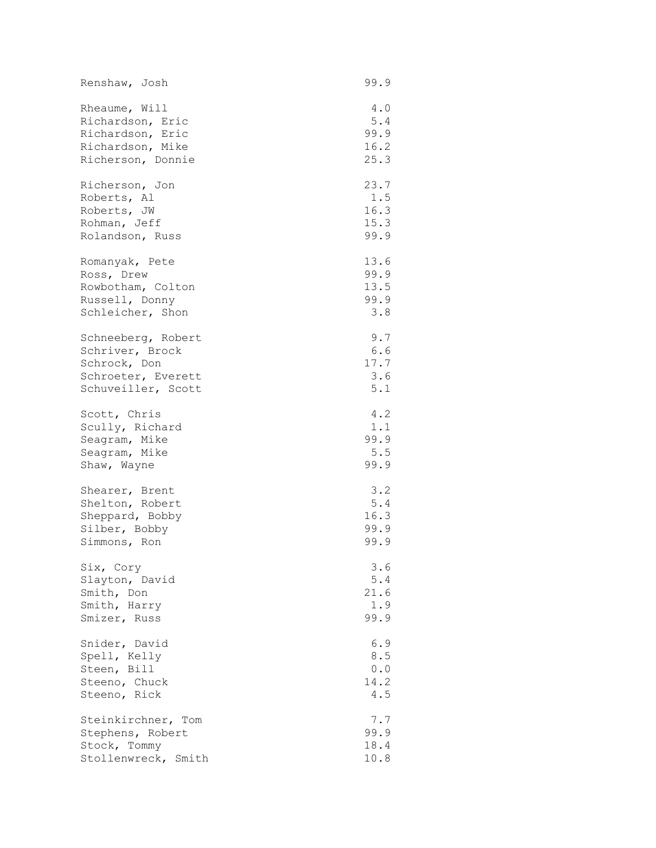| Renshaw, Josh       | 99.9  |
|---------------------|-------|
| Rheaume, Will       | 4.0   |
| Richardson, Eric    | 5.4   |
| Richardson, Eric    | 99.9  |
| Richardson, Mike    | 16.2  |
| Richerson, Donnie   | 25.3  |
| Richerson, Jon      | 23.7  |
| Roberts, Al         | 1.5   |
| Roberts, JW         | 16.3  |
| Rohman, Jeff        | 15.3  |
| Rolandson, Russ     | 99.9  |
| Romanyak, Pete      | 13.6  |
| Ross, Drew          | 99.9  |
| Rowbotham, Colton   | 13.5  |
| Russell, Donny      | 99.9  |
| Schleicher, Shon    | 3.8   |
| Schneeberg, Robert  | 9.7   |
| Schriver, Brock     | 6.6   |
| Schrock, Don        | 17.7  |
| Schroeter, Everett  | 3.6   |
| Schuveiller, Scott  | 5.1   |
| Scott, Chris        | 4.2   |
| Scully, Richard     | 1.1   |
| Seagram, Mike       | 99.9  |
| Seagram, Mike       | 5.5   |
| Shaw, Wayne         | 99.9  |
| Shearer, Brent      | 3.2   |
| Shelton, Robert     | 5.4   |
| Sheppard, Bobby     | 16.3  |
| Silber, Bobby       | 99.9  |
| Simmons, Ron        | 99.9  |
| Six, Cory           | 3.6   |
| Slayton, David      | $5.4$ |
| Smith, Don          | 21.6  |
| Smith, Harry        | 1.9   |
| Smizer, Russ        | 99.9  |
| Snider, David       | 6.9   |
| Spell, Kelly        | 8.5   |
| Steen, Bill         | 0.0   |
| Steeno, Chuck       | 14.2  |
| Steeno, Rick        | 4.5   |
| Steinkirchner, Tom  | 7.7   |
| Stephens, Robert    | 99.9  |
| Stock, Tommy        | 18.4  |
| Stollenwreck, Smith | 10.8  |